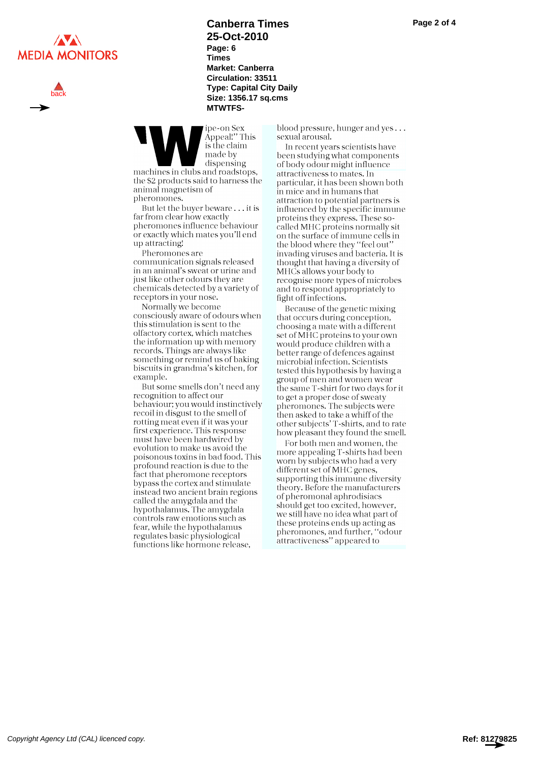



## **Canberra Times 25-Oct-2010 Page: 6 Times Market: Canberra Circulation: 33511 Type: Capital City Daily Size: 1356.17 sq.cms MTWTFS-**

ipe-on Sex blood pressure<br>Appeal!'' This sexual arousal. Appeal!" This is the claim made by dispensing machines in clubs and roadstops, the \$2 products said to harness the animal magnetism of pheromones.

But let the buyer beware. . . it is far from clear how exactly pheromones influence behaviour or exactly which mates you'll end up attracting!

Pheromones are communication signals released in an animal's sweat or urine and just like other odours they are chemicals detected by a variety of receptors in your nose.

Normally we become consciously aware of odours when this stimulation is sent to the olfactory cortex, which matches the information up with memory records. Things are always like something or remind us of baking biscuits in grandma's kitchen, for example.

But some smells don't need any recognition to affect our behaviour; you would instinctively recoil in disgust to the smell of rotting meat even if it was your first experience. This response must have been hardwired by evolution to make us avoid the poisonous toxins in bad food. This profound reaction is due to the fact that pheromone receptors bypass the cortex and stimulate instead two ancient brain regions called the amygdala and the hypothalamus. The amygdala controls raw emotions such as fear, while the hypothalamus regulates basic physiological functions like hormone release,

blood pressure, hunger and yes...

made by<br>dispensing been studying what components<br>bines in aluke on dread theme. In recent years scientists have of body odour might influence attractiveness to mates. In particular, it has been shown both in mice and in humans that attraction to potential partners is influenced by the specific immune proteins they express. These socalled MHC proteins normally sit on the surface of immune cells in the blood where they "feel out" invading viruses and bacteria. It is thought that having a diversity of MHCs allows your body to recognise more types of microbes and to respond appropriately to fight off infections.

> Because of the genetic mixing that occurs during conception, choosing a mate with a different set of MHC proteins to your own would produce children with a better range of defences against microbial infection. Scientists tested this hypothesis by having a group of men and women wear the same T-shirt for two days for it to get a proper dose of sweaty pheromones. The subjects were then asked to take a whiff of the other subjects' T-shirts, and to rate how pleasant they found the smell.

For both men and women, the more appealing T-shirts had been worn by subjects who had a very different set of MHC genes, supporting this immune diversity theory. Before the manufacturers of pheromonal aphrodisiacs should get too excited, however, we still have no idea what part of these proteins ends up acting as pheromones, and further, "odour attractiveness" appeared to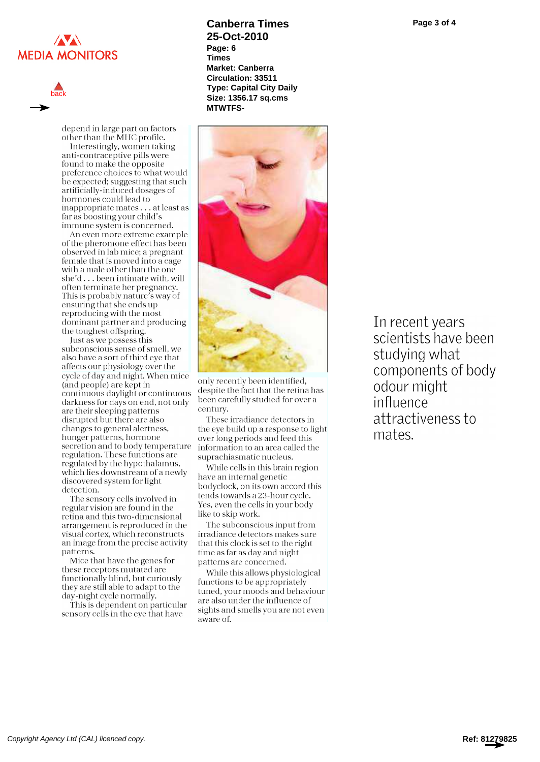



depend in large part on factors other than the MHC profile. o

Interestingly, women taking anti-contraceptive pills were found to make the opposite preference choices to what would be expected; suggesting that such artificially-induced dosages of hormones could lead to inappropriate mates. . . at least as far as boosting your child's immune system is concerned.

An even more extreme example of the pheromone effect has been observed in lab mice; a pregnant female that is moved into a cage with a male other than the one she'd. . . been intimate with, will often terminate her pregnancy. This is probably nature's way of  $\begin{array}{|c|c|}\n\hline\n\end{array}$ ensuring that she ends up reproducing with the most dominant partner and producing the toughest offspring.

Just as we possess this subconscious sense of smell, we also have a sort of third eye that affects our physiology over the cycle of day and night. When mice (and people) are kept in continuous daylight or continuous darkness for days on end, not only are their sleeping patterns disrupted but there are also<br>changes to general alertness, hunger patterns, hormone secretion and to body temperature regulation. These functions are regulated by the hypothalamus, which lies downstream of a newly discovered system for light detection.

The sensory cells involved in regular vision are found in the retina and this two-dimensional arrangement is reproduced in the visual cortex, which reconstructs an image from the precise activity patterns.

Mice that have the genes for these receptors mutated are functionally blind, but curiously they are still able to adapt to the day-night cycle normally.

This is dependent on particular sensory cells in the eye that have

## **Canberra Times 25-Oct-2010 Page: 6 Times Market: Canberra Circulation: 33511 Type: Capital City Daily**

**Size: 1356.17 sq.cms**

**MTWTFS-**



only recently been identified, despite the fact that the retina has been carefully studied for over a century.

These irradiance detectors in the eye build up a response to light over long periods and feed this information to an area called the suprachiasmatic nucleus.

While cells in this brain region have an internal genetic bodyclock, on its own accord this tends towards a 23-hour cycle. Yes, even the cells in your body like to skip work.

The subconscious input from irradiance detectors makes sure that this clock is set to the right time as far as day and night patterns are concerned.

While this allows physiological functions to be appropriately tuned, your moods and behaviour are also under the influence of sights and smells you are not even aware of.

In recent years scientists have been studying what components of body odour might influence attractiveness to mates.